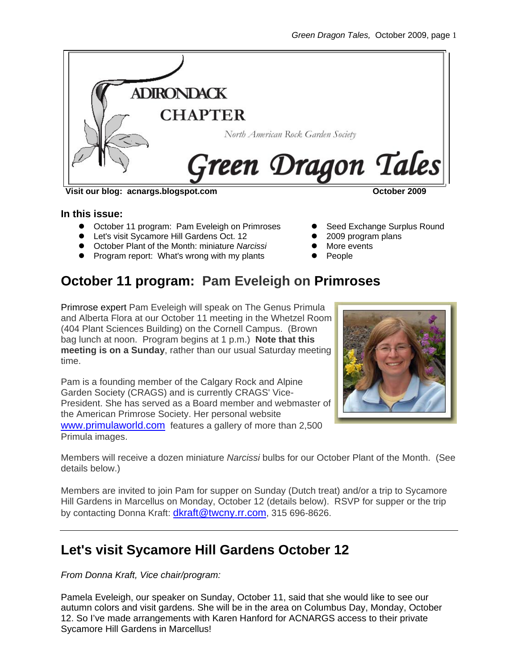

#### **Visit our blog: acnargs.blogspot.com October 2009**

#### **In this issue:**

- October 11 program: Pam Eveleigh on Primroses
- **•** Let's visit Sycamore Hill Gardens Oct. 12
- **•** October Plant of the Month: miniature *Narcissi*
- Program report: What's wrong with my plants

#### Seed Exchange Surplus Round

- z 2009 program plans
- More events
- People

# **October 11 program: Pam Eveleigh on Primroses**

Primrose expert Pam Eveleigh will speak on The Genus Primula and Alberta Flora at our October 11 meeting in the Whetzel Room (404 Plant Sciences Building) on the Cornell Campus. (Brown bag lunch at noon. Program begins at 1 p.m.) **Note that this meeting is on a Sunday**, rather than our usual Saturday meeting time.

Pam is a founding member of the Calgary Rock and Alpine Garden Society (CRAGS) and is currently CRAGS' Vice-President. She has served as a Board member and webmaster of the American Primrose Society. Her personal website [www.primulaworld.com](http://www.primulaworld.com/) features a gallery of more than 2,500 Primula images.



Members will receive a dozen miniature *Narcissi* bulbs for our October Plant of the Month. (See details below.)

Members are invited to join Pam for supper on Sunday (Dutch treat) and/or a trip to Sycamore Hill Gardens in Marcellus on Monday, October 12 (details below). RSVP for supper or the trip by contacting Donna Kraft: [dkraft@twcny.rr.com,](mailto:dkraft@twcny.rr.com) 315 696-8626.

### **Let's visit Sycamore Hill Gardens October 12**

*From Donna Kraft, Vice chair/program:* 

Pamela Eveleigh, our speaker on Sunday, October 11, said that she would like to see our autumn colors and visit gardens. She will be in the area on Columbus Day, Monday, October 12. So I've made arrangements with Karen Hanford for ACNARGS access to their private Sycamore Hill Gardens in Marcellus!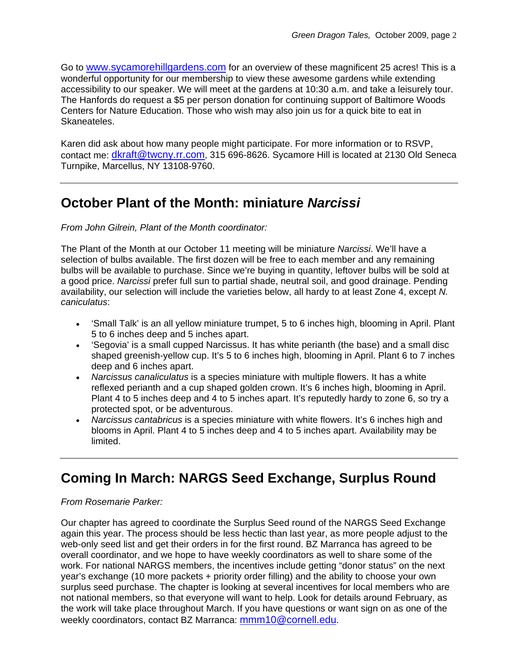Go to [www.sycamorehillgardens.com](http://www.sycamorehillgardens.com/) for an overview of these magnificent 25 acres! This is a wonderful opportunity for our membership to view these awesome gardens while extending accessibility to our speaker. We will meet at the gardens at 10:30 a.m. and take a leisurely tour. The Hanfords do request a \$5 per person donation for continuing support of Baltimore Woods Centers for Nature Education. Those who wish may also join us for a quick bite to eat in Skaneateles.

Karen did ask about how many people might participate. For more information or to RSVP, contact me: [dkraft@twcny.rr.com](mailto:dkraft@twcny.rr.com), 315 696-8626. Sycamore Hill is located at 2130 Old Seneca Turnpike, Marcellus, NY 13108-9760.

# **October Plant of the Month: miniature** *Narcissi*

#### *From John Gilrein, Plant of the Month coordinator:*

The Plant of the Month at our October 11 meeting will be miniature *Narcissi*. We'll have a selection of bulbs available. The first dozen will be free to each member and any remaining bulbs will be available to purchase. Since we're buying in quantity, leftover bulbs will be sold at a good price. *Narcissi* prefer full sun to partial shade, neutral soil, and good drainage. Pending availability, our selection will include the varieties below, all hardy to at least Zone 4, except *N. caniculatus*:

- 'Small Talk' is an all yellow miniature trumpet, 5 to 6 inches high, blooming in April. Plant 5 to 6 inches deep and 5 inches apart.
- 'Segovia' is a small cupped Narcissus. It has white perianth (the base) and a small disc shaped greenish-yellow cup. It's 5 to 6 inches high, blooming in April. Plant 6 to 7 inches deep and 6 inches apart.
- *Narcissus canaliculatus* is a species miniature with multiple flowers. It has a white reflexed perianth and a cup shaped golden crown. It's 6 inches high, blooming in April. Plant 4 to 5 inches deep and 4 to 5 inches apart. It's reputedly hardy to zone 6, so try a protected spot, or be adventurous.
- *Narcissus cantabricus* is a species miniature with white flowers. It's 6 inches high and blooms in April. Plant 4 to 5 inches deep and 4 to 5 inches apart. Availability may be limited.

# **Coming In March: NARGS Seed Exchange, Surplus Round**

#### *From Rosemarie Parker:*

Our chapter has agreed to coordinate the Surplus Seed round of the NARGS Seed Exchange again this year. The process should be less hectic than last year, as more people adjust to the web-only seed list and get their orders in for the first round. BZ Marranca has agreed to be overall coordinator, and we hope to have weekly coordinators as well to share some of the work. For national NARGS members, the incentives include getting "donor status" on the next year's exchange (10 more packets + priority order filling) and the ability to choose your own surplus seed purchase. The chapter is looking at several incentives for local members who are not national members, so that everyone will want to help. Look for details around February, as the work will take place throughout March. If you have questions or want sign on as one of the weekly coordinators, contact BZ Marranca: [mmm10@cornell.edu.](mailto:mmm10@cornell.edu)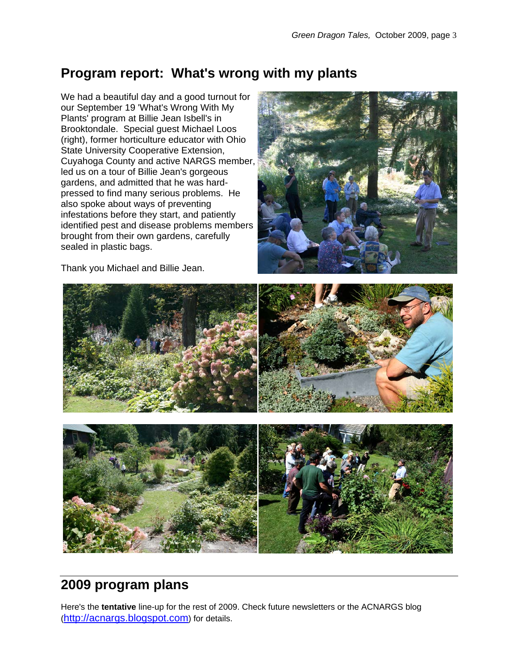# **Program report: What's wrong with my plants**

We had a beautiful day and a good turnout for our September 19 'What's Wrong With My Plants' program at Billie Jean Isbell's in Brooktondale. Special guest Michael Loos (right), former horticulture educator with Ohio State University Cooperative Extension, Cuyahoga County and active NARGS member, led us on a tour of Billie Jean's gorgeous gardens, and admitted that he was hardpressed to find many serious problems. He also spoke about ways of preventing infestations before they start, and patiently identified pest and disease problems members brought from their own gardens, carefully sealed in plastic bags.



Thank you Michael and Billie Jean.



# **2009 program plans**

Here's the **tentative** line-up for the rest of 2009. Check future newsletters or the ACNARGS blog [\(http://acnargs.blogspot.com\)](http://acnargs.blogspot.com/) for details.